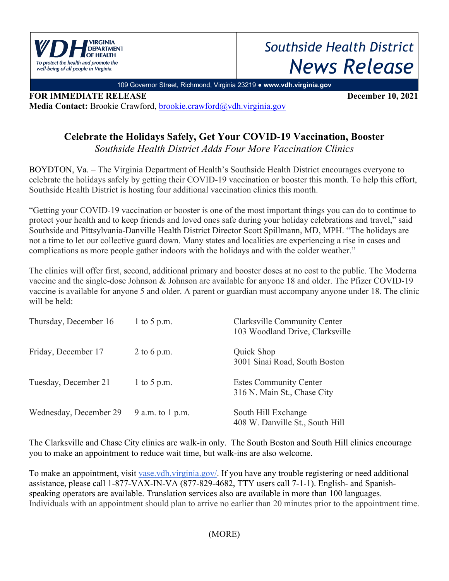

## *Southside Health District News Release*

109 Governor Street, Richmond, Virginia 23219 ● **www.vdh.virginia.gov**

**FOR IMMEDIATE RELEASE December 10, 2021 Media Contact:** Brookie Crawford, brookie.crawford@vdh.virginia.gov

## **Celebrate the Holidays Safely, Get Your COVID-19 Vaccination, Booster**

*Southside Health District Adds Four More Vaccination Clinics*

BOYDTON, Va. – The Virginia Department of Health's Southside Health District encourages everyone to celebrate the holidays safely by getting their COVID-19 vaccination or booster this month. To help this effort, Southside Health District is hosting four additional vaccination clinics this month.

"Getting your COVID-19 vaccination or booster is one of the most important things you can do to continue to protect your health and to keep friends and loved ones safe during your holiday celebrations and travel," said Southside and Pittsylvania-Danville Health District Director Scott Spillmann, MD, MPH. "The holidays are not a time to let our collective guard down. Many states and localities are experiencing a rise in cases and complications as more people gather indoors with the holidays and with the colder weather."

The clinics will offer first, second, additional primary and booster doses at no cost to the public. The Moderna vaccine and the single-dose Johnson & Johnson are available for anyone 18 and older. The Pfizer COVID-19 vaccine is available for anyone 5 and older. A parent or guardian must accompany anyone under 18. The clinic will be held:

| Thursday, December 16  | 1 to 5 p.m.      | Clarksville Community Center<br>103 Woodland Drive, Clarksville |
|------------------------|------------------|-----------------------------------------------------------------|
| Friday, December 17    | 2 to 6 p.m.      | Quick Shop<br>3001 Sinai Road, South Boston                     |
| Tuesday, December 21   | 1 to 5 p.m.      | <b>Estes Community Center</b><br>316 N. Main St., Chase City    |
| Wednesday, December 29 | 9 a.m. to 1 p.m. | South Hill Exchange<br>408 W. Danville St., South Hill          |

The Clarksville and Chase City clinics are walk-in only. The South Boston and South Hill clinics encourage you to make an appointment to reduce wait time, but walk-ins are also welcome.

To make an appointment, visit vase.vdh.virginia.gov/. If you have any trouble registering or need additional assistance, please call 1-877-VAX-IN-VA (877-829-4682, TTY users call 7-1-1). English- and Spanishspeaking operators are available. Translation services also are available in more than 100 languages. Individuals with an appointment should plan to arrive no earlier than 20 minutes prior to the appointment time.